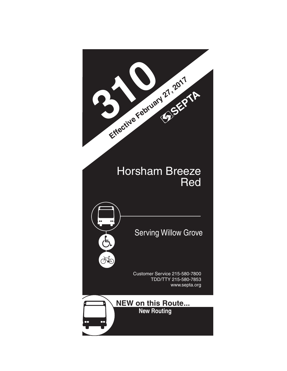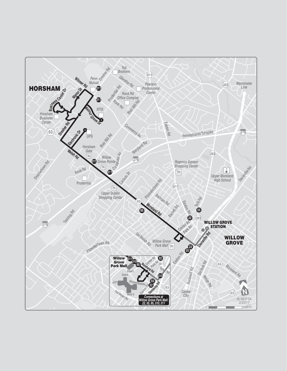